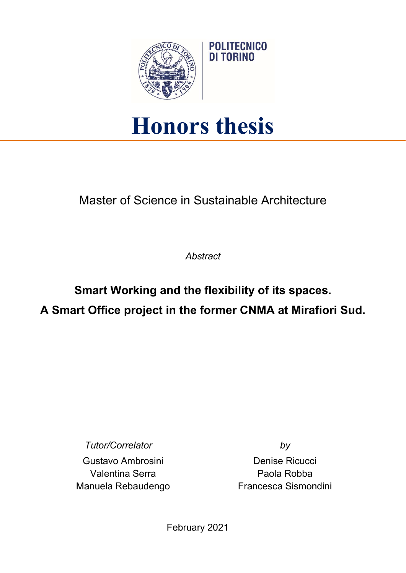

## Honors thesis

## Master of Science in Sustainable Architecture

**Abstract** 

## Smart Working and the flexibility of its spaces. A Smart Office project in the former CNMA at Mirafiori Sud.

Tutor/Correlator by Gustavo Ambrosini Valentina Serra Manuela Rebaudengo

Denise Ricucci Paola Robba Francesca Sismondini

February 2021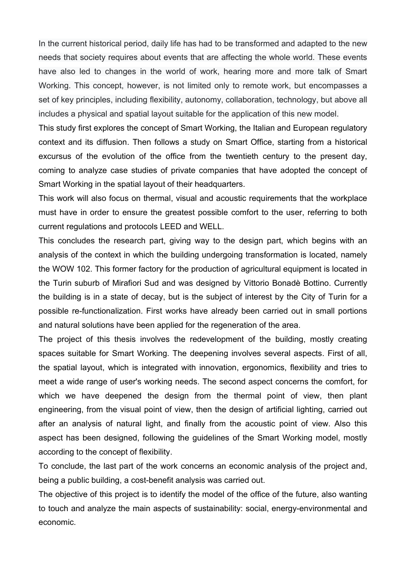In the current historical period, daily life has had to be transformed and adapted to the new needs that society requires about events that are affecting the whole world. These events have also led to changes in the world of work, hearing more and more talk of Smart Working. This concept, however, is not limited only to remote work, but encompasses a set of key principles, including flexibility, autonomy, collaboration, technology, but above all includes a physical and spatial layout suitable for the application of this new model.

This study first explores the concept of Smart Working, the Italian and European regulatory context and its diffusion. Then follows a study on Smart Office, starting from a historical excursus of the evolution of the office from the twentieth century to the present day, coming to analyze case studies of private companies that have adopted the concept of Smart Working in the spatial layout of their headquarters.

This work will also focus on thermal, visual and acoustic requirements that the workplace must have in order to ensure the greatest possible comfort to the user, referring to both current regulations and protocols LEED and WELL.

This concludes the research part, giving way to the design part, which begins with an analysis of the context in which the building undergoing transformation is located, namely the WOW 102. This former factory for the production of agricultural equipment is located in the Turin suburb of Mirafiori Sud and was designed by Vittorio Bonadè Bottino. Currently the building is in a state of decay, but is the subject of interest by the City of Turin for a possible re-functionalization. First works have already been carried out in small portions and natural solutions have been applied for the regeneration of the area.

The project of this thesis involves the redevelopment of the building, mostly creating spaces suitable for Smart Working. The deepening involves several aspects. First of all, the spatial layout, which is integrated with innovation, ergonomics, flexibility and tries to meet a wide range of user's working needs. The second aspect concerns the comfort, for which we have deepened the design from the thermal point of view, then plant engineering, from the visual point of view, then the design of artificial lighting, carried out after an analysis of natural light, and finally from the acoustic point of view. Also this aspect has been designed, following the guidelines of the Smart Working model, mostly according to the concept of flexibility.

To conclude, the last part of the work concerns an economic analysis of the project and, being a public building, a cost-benefit analysis was carried out.

The objective of this project is to identify the model of the office of the future, also wanting to touch and analyze the main aspects of sustainability: social, energy-environmental and economic.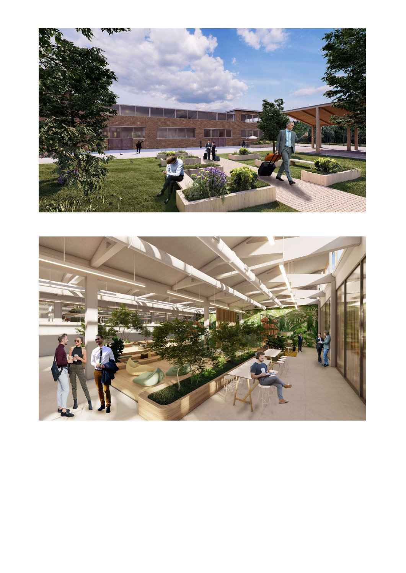